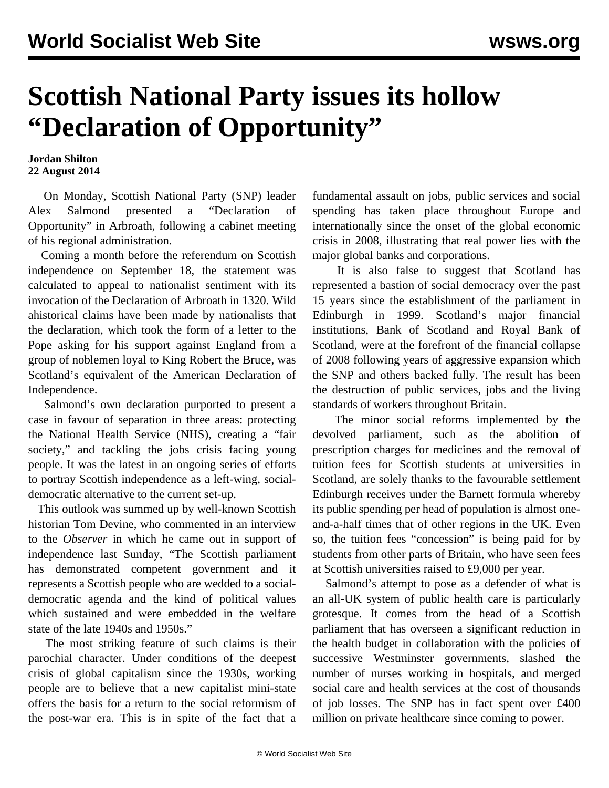## **Scottish National Party issues its hollow "Declaration of Opportunity"**

## **Jordan Shilton 22 August 2014**

 On Monday, Scottish National Party (SNP) leader Alex Salmond presented a "Declaration of Opportunity" in Arbroath, following a cabinet meeting of his regional administration.

 Coming a month before the referendum on Scottish independence on September 18, the statement was calculated to appeal to nationalist sentiment with its invocation of the Declaration of Arbroath in 1320. Wild ahistorical claims have been made by nationalists that the declaration, which took the form of a letter to the Pope asking for his support against England from a group of noblemen loyal to King Robert the Bruce, was Scotland's equivalent of the American Declaration of Independence.

 Salmond's own declaration purported to present a case in favour of separation in three areas: protecting the National Health Service (NHS), creating a "fair society," and tackling the jobs crisis facing young people. It was the latest in an ongoing series of efforts to portray Scottish independence as a left-wing, socialdemocratic alternative to the current set-up.

 This outlook was summed up by well-known Scottish historian Tom Devine, who commented in an interview to the *Observer* in which he came out in support of independence last Sunday, "The Scottish parliament has demonstrated competent government and it represents a Scottish people who are wedded to a socialdemocratic agenda and the kind of political values which sustained and were embedded in the welfare state of the late 1940s and 1950s."

 The most striking feature of such claims is their parochial character. Under conditions of the deepest crisis of global capitalism since the 1930s, working people are to believe that a new capitalist mini-state offers the basis for a return to the social reformism of the post-war era. This is in spite of the fact that a

fundamental assault on jobs, public services and social spending has taken place throughout Europe and internationally since the onset of the global economic crisis in 2008, illustrating that real power lies with the major global banks and corporations.

 It is also false to suggest that Scotland has represented a bastion of social democracy over the past 15 years since the establishment of the parliament in Edinburgh in 1999. Scotland's major financial institutions, Bank of Scotland and Royal Bank of Scotland, were at the forefront of the financial collapse of 2008 following years of aggressive expansion which the SNP and others backed fully. The result has been the destruction of public services, jobs and the living standards of workers throughout Britain.

 The minor social reforms implemented by the devolved parliament, such as the abolition of prescription charges for medicines and the removal of tuition fees for Scottish students at universities in Scotland, are solely thanks to the favourable settlement Edinburgh receives under the Barnett formula whereby its public spending per head of population is almost oneand-a-half times that of other regions in the UK. Even so, the tuition fees "concession" is being paid for by students from other parts of Britain, who have seen fees at Scottish universities raised to £9,000 per year.

 Salmond's attempt to pose as a defender of what is an all-UK system of public health care is particularly grotesque. It comes from the head of a Scottish parliament that has overseen a significant reduction in the health budget in collaboration with the policies of successive Westminster governments, slashed the number of nurses working in hospitals, and merged social care and health services at the cost of thousands of job losses. The SNP has in fact spent over £400 million on private healthcare since coming to power.